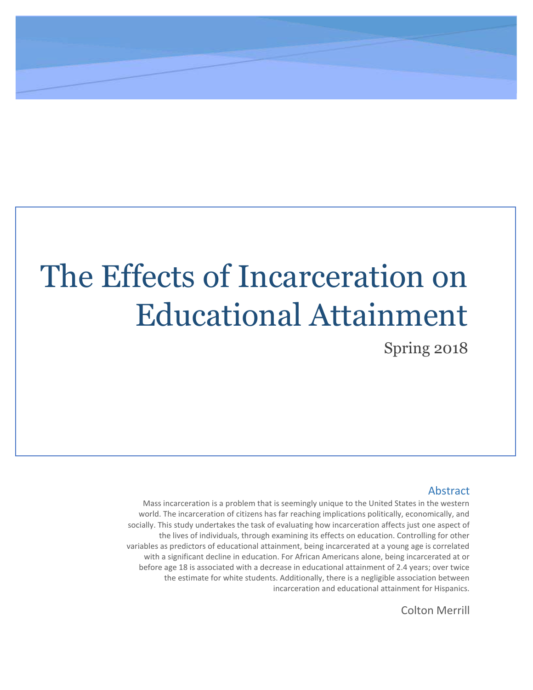# The Effects of Incarceration on Educational Attainment

Spring 2018

## Abstract

Mass incarceration is a problem that is seemingly unique to the United States in the western world. The incarceration of citizens has far reaching implications politically, economically, and socially. This study undertakes the task of evaluating how incarceration affects just one aspect of the lives of individuals, through examining its effects on education. Controlling for other variables as predictors of educational attainment, being incarcerated at a young age is correlated with a significant decline in education. For African Americans alone, being incarcerated at or before age 18 is associated with a decrease in educational attainment of 2.4 years; over twice the estimate for white students. Additionally, there is a negligible association between incarceration and educational attainment for Hispanics.

Colton Merrill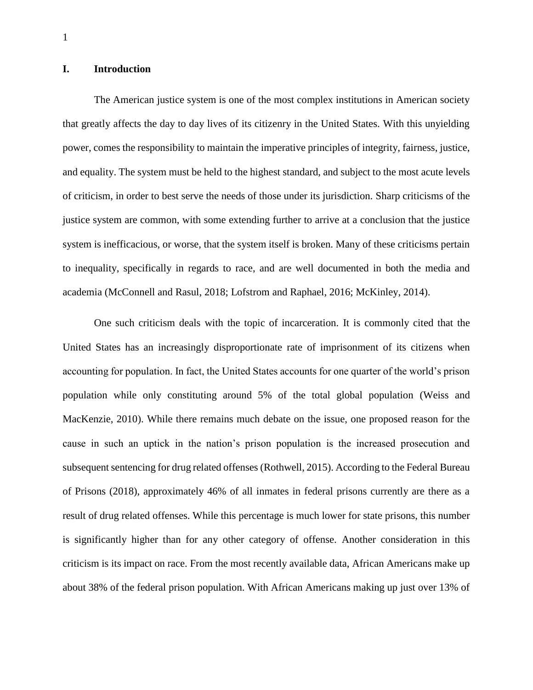#### **I. Introduction**

The American justice system is one of the most complex institutions in American society that greatly affects the day to day lives of its citizenry in the United States. With this unyielding power, comes the responsibility to maintain the imperative principles of integrity, fairness, justice, and equality. The system must be held to the highest standard, and subject to the most acute levels of criticism, in order to best serve the needs of those under its jurisdiction. Sharp criticisms of the justice system are common, with some extending further to arrive at a conclusion that the justice system is inefficacious, or worse, that the system itself is broken. Many of these criticisms pertain to inequality, specifically in regards to race, and are well documented in both the media and academia (McConnell and Rasul, 2018; Lofstrom and Raphael, 2016; McKinley, 2014).

One such criticism deals with the topic of incarceration. It is commonly cited that the United States has an increasingly disproportionate rate of imprisonment of its citizens when accounting for population. In fact, the United States accounts for one quarter of the world's prison population while only constituting around 5% of the total global population (Weiss and MacKenzie, 2010). While there remains much debate on the issue, one proposed reason for the cause in such an uptick in the nation's prison population is the increased prosecution and subsequent sentencing for drug related offenses (Rothwell, 2015). According to the Federal Bureau of Prisons (2018), approximately 46% of all inmates in federal prisons currently are there as a result of drug related offenses. While this percentage is much lower for state prisons, this number is significantly higher than for any other category of offense. Another consideration in this criticism is its impact on race. From the most recently available data, African Americans make up about 38% of the federal prison population. With African Americans making up just over 13% of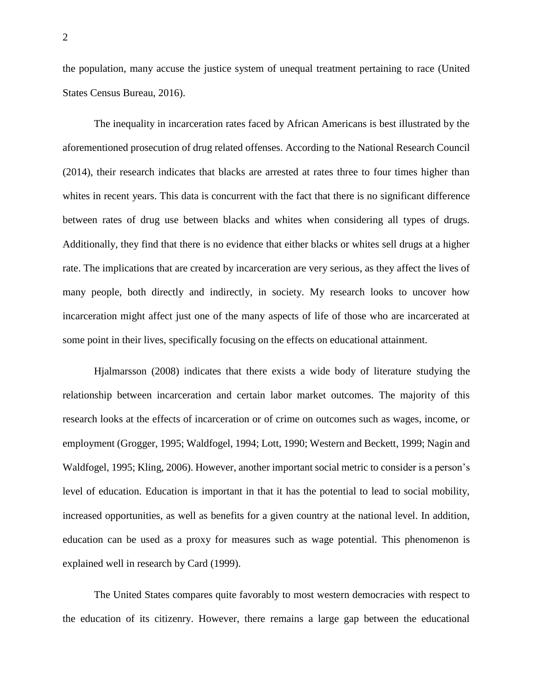the population, many accuse the justice system of unequal treatment pertaining to race (United States Census Bureau, 2016).

The inequality in incarceration rates faced by African Americans is best illustrated by the aforementioned prosecution of drug related offenses. According to the National Research Council (2014), their research indicates that blacks are arrested at rates three to four times higher than whites in recent years. This data is concurrent with the fact that there is no significant difference between rates of drug use between blacks and whites when considering all types of drugs. Additionally, they find that there is no evidence that either blacks or whites sell drugs at a higher rate. The implications that are created by incarceration are very serious, as they affect the lives of many people, both directly and indirectly, in society. My research looks to uncover how incarceration might affect just one of the many aspects of life of those who are incarcerated at some point in their lives, specifically focusing on the effects on educational attainment.

Hjalmarsson (2008) indicates that there exists a wide body of literature studying the relationship between incarceration and certain labor market outcomes. The majority of this research looks at the effects of incarceration or of crime on outcomes such as wages, income, or employment (Grogger, 1995; Waldfogel, 1994; Lott, 1990; Western and Beckett, 1999; Nagin and Waldfogel, 1995; Kling, 2006). However, another important social metric to consider is a person's level of education. Education is important in that it has the potential to lead to social mobility, increased opportunities, as well as benefits for a given country at the national level. In addition, education can be used as a proxy for measures such as wage potential. This phenomenon is explained well in research by Card (1999).

The United States compares quite favorably to most western democracies with respect to the education of its citizenry. However, there remains a large gap between the educational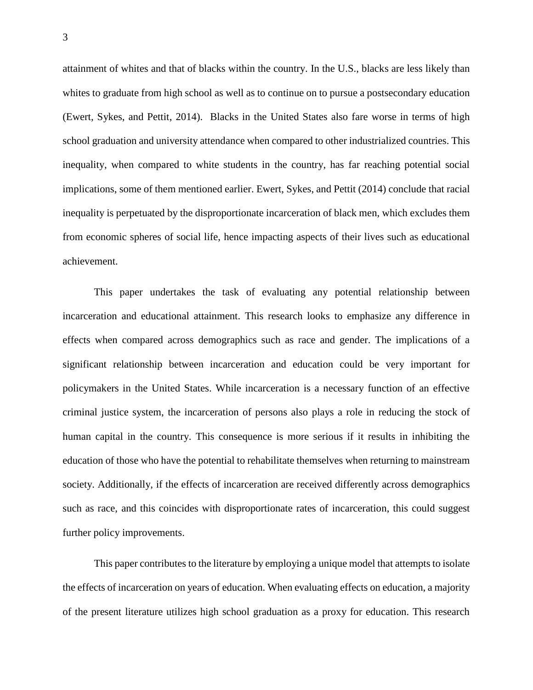attainment of whites and that of blacks within the country. In the U.S., blacks are less likely than whites to graduate from high school as well as to continue on to pursue a postsecondary education (Ewert, Sykes, and Pettit, 2014). Blacks in the United States also fare worse in terms of high school graduation and university attendance when compared to other industrialized countries. This inequality, when compared to white students in the country, has far reaching potential social implications, some of them mentioned earlier. Ewert, Sykes, and Pettit (2014) conclude that racial inequality is perpetuated by the disproportionate incarceration of black men, which excludes them from economic spheres of social life, hence impacting aspects of their lives such as educational achievement.

This paper undertakes the task of evaluating any potential relationship between incarceration and educational attainment. This research looks to emphasize any difference in effects when compared across demographics such as race and gender. The implications of a significant relationship between incarceration and education could be very important for policymakers in the United States. While incarceration is a necessary function of an effective criminal justice system, the incarceration of persons also plays a role in reducing the stock of human capital in the country. This consequence is more serious if it results in inhibiting the education of those who have the potential to rehabilitate themselves when returning to mainstream society. Additionally, if the effects of incarceration are received differently across demographics such as race, and this coincides with disproportionate rates of incarceration, this could suggest further policy improvements.

This paper contributes to the literature by employing a unique model that attempts to isolate the effects of incarceration on years of education. When evaluating effects on education, a majority of the present literature utilizes high school graduation as a proxy for education. This research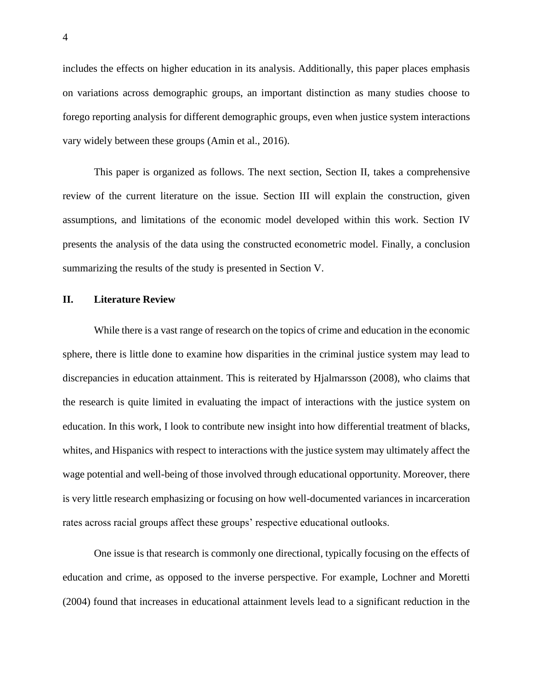includes the effects on higher education in its analysis. Additionally, this paper places emphasis on variations across demographic groups, an important distinction as many studies choose to forego reporting analysis for different demographic groups, even when justice system interactions vary widely between these groups (Amin et al., 2016).

This paper is organized as follows. The next section, Section II, takes a comprehensive review of the current literature on the issue. Section III will explain the construction, given assumptions, and limitations of the economic model developed within this work. Section IV presents the analysis of the data using the constructed econometric model. Finally, a conclusion summarizing the results of the study is presented in Section V.

## **II. Literature Review**

While there is a vast range of research on the topics of crime and education in the economic sphere, there is little done to examine how disparities in the criminal justice system may lead to discrepancies in education attainment. This is reiterated by Hjalmarsson (2008), who claims that the research is quite limited in evaluating the impact of interactions with the justice system on education. In this work, I look to contribute new insight into how differential treatment of blacks, whites, and Hispanics with respect to interactions with the justice system may ultimately affect the wage potential and well-being of those involved through educational opportunity. Moreover, there is very little research emphasizing or focusing on how well-documented variances in incarceration rates across racial groups affect these groups' respective educational outlooks.

One issue is that research is commonly one directional, typically focusing on the effects of education and crime, as opposed to the inverse perspective. For example, Lochner and Moretti (2004) found that increases in educational attainment levels lead to a significant reduction in the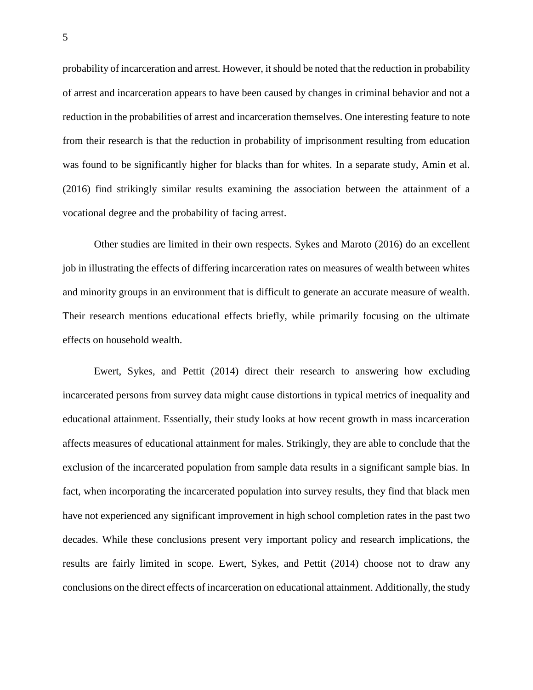probability of incarceration and arrest. However, it should be noted that the reduction in probability of arrest and incarceration appears to have been caused by changes in criminal behavior and not a reduction in the probabilities of arrest and incarceration themselves. One interesting feature to note from their research is that the reduction in probability of imprisonment resulting from education was found to be significantly higher for blacks than for whites. In a separate study, Amin et al. (2016) find strikingly similar results examining the association between the attainment of a vocational degree and the probability of facing arrest.

Other studies are limited in their own respects. Sykes and Maroto (2016) do an excellent job in illustrating the effects of differing incarceration rates on measures of wealth between whites and minority groups in an environment that is difficult to generate an accurate measure of wealth. Their research mentions educational effects briefly, while primarily focusing on the ultimate effects on household wealth.

Ewert, Sykes, and Pettit (2014) direct their research to answering how excluding incarcerated persons from survey data might cause distortions in typical metrics of inequality and educational attainment. Essentially, their study looks at how recent growth in mass incarceration affects measures of educational attainment for males. Strikingly, they are able to conclude that the exclusion of the incarcerated population from sample data results in a significant sample bias. In fact, when incorporating the incarcerated population into survey results, they find that black men have not experienced any significant improvement in high school completion rates in the past two decades. While these conclusions present very important policy and research implications, the results are fairly limited in scope. Ewert, Sykes, and Pettit (2014) choose not to draw any conclusions on the direct effects of incarceration on educational attainment. Additionally, the study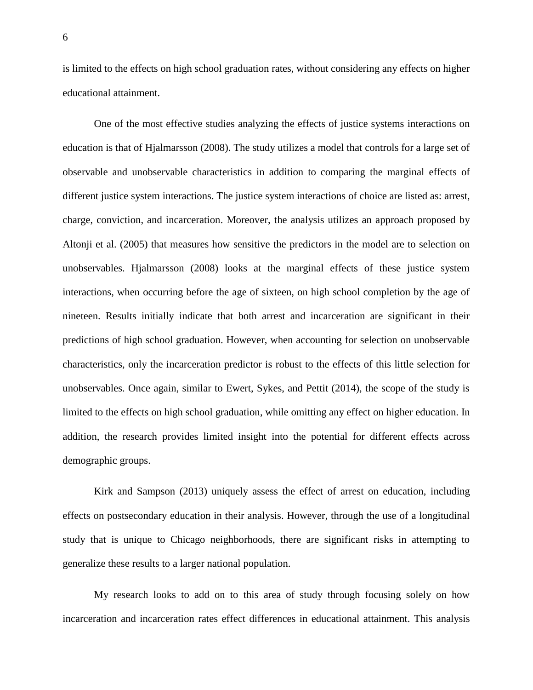is limited to the effects on high school graduation rates, without considering any effects on higher educational attainment.

One of the most effective studies analyzing the effects of justice systems interactions on education is that of Hjalmarsson (2008). The study utilizes a model that controls for a large set of observable and unobservable characteristics in addition to comparing the marginal effects of different justice system interactions. The justice system interactions of choice are listed as: arrest, charge, conviction, and incarceration. Moreover, the analysis utilizes an approach proposed by Altonji et al. (2005) that measures how sensitive the predictors in the model are to selection on unobservables. Hjalmarsson (2008) looks at the marginal effects of these justice system interactions, when occurring before the age of sixteen, on high school completion by the age of nineteen. Results initially indicate that both arrest and incarceration are significant in their predictions of high school graduation. However, when accounting for selection on unobservable characteristics, only the incarceration predictor is robust to the effects of this little selection for unobservables. Once again, similar to Ewert, Sykes, and Pettit (2014), the scope of the study is limited to the effects on high school graduation, while omitting any effect on higher education. In addition, the research provides limited insight into the potential for different effects across demographic groups.

Kirk and Sampson (2013) uniquely assess the effect of arrest on education, including effects on postsecondary education in their analysis. However, through the use of a longitudinal study that is unique to Chicago neighborhoods, there are significant risks in attempting to generalize these results to a larger national population.

My research looks to add on to this area of study through focusing solely on how incarceration and incarceration rates effect differences in educational attainment. This analysis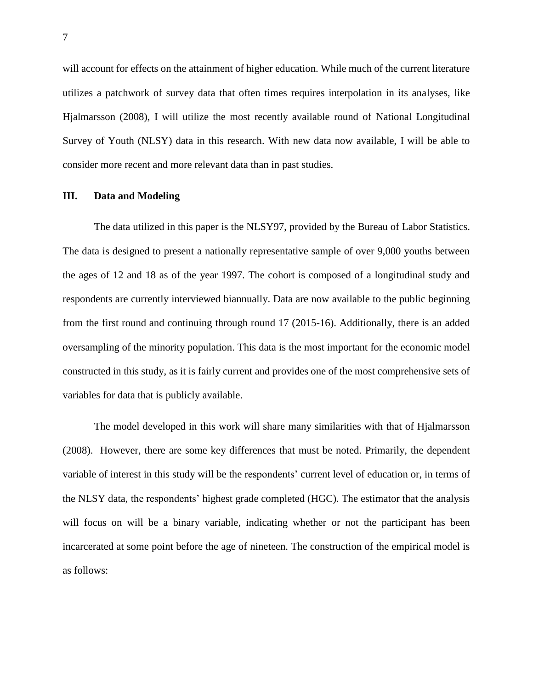will account for effects on the attainment of higher education. While much of the current literature utilizes a patchwork of survey data that often times requires interpolation in its analyses, like Hjalmarsson (2008), I will utilize the most recently available round of National Longitudinal Survey of Youth (NLSY) data in this research. With new data now available, I will be able to consider more recent and more relevant data than in past studies.

#### **III. Data and Modeling**

The data utilized in this paper is the NLSY97, provided by the Bureau of Labor Statistics. The data is designed to present a nationally representative sample of over 9,000 youths between the ages of 12 and 18 as of the year 1997. The cohort is composed of a longitudinal study and respondents are currently interviewed biannually. Data are now available to the public beginning from the first round and continuing through round 17 (2015-16). Additionally, there is an added oversampling of the minority population. This data is the most important for the economic model constructed in this study, as it is fairly current and provides one of the most comprehensive sets of variables for data that is publicly available.

The model developed in this work will share many similarities with that of Hjalmarsson (2008). However, there are some key differences that must be noted. Primarily, the dependent variable of interest in this study will be the respondents' current level of education or, in terms of the NLSY data, the respondents' highest grade completed (HGC). The estimator that the analysis will focus on will be a binary variable, indicating whether or not the participant has been incarcerated at some point before the age of nineteen. The construction of the empirical model is as follows: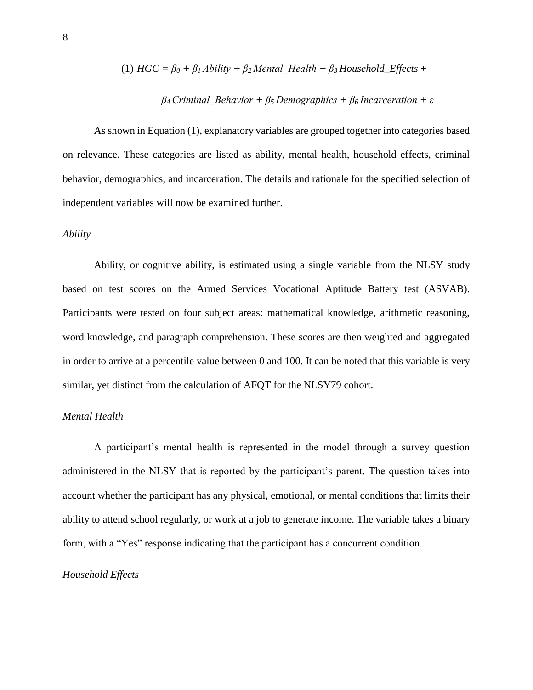(1) HGC = 
$$
\beta_0 + \beta_1
$$
 *Ability* +  $\beta_2$  *Mental Health* +  $\beta_3$  *Household\_Effects* +

## *β<sup>4</sup> Criminal\_Behavior + β<sup>5</sup> Demographics + β<sup>6</sup> Incarceration + ε*

As shown in Equation (1), explanatory variables are grouped together into categories based on relevance. These categories are listed as ability, mental health, household effects, criminal behavior, demographics, and incarceration. The details and rationale for the specified selection of independent variables will now be examined further.

#### *Ability*

Ability, or cognitive ability, is estimated using a single variable from the NLSY study based on test scores on the Armed Services Vocational Aptitude Battery test (ASVAB). Participants were tested on four subject areas: mathematical knowledge, arithmetic reasoning, word knowledge, and paragraph comprehension. These scores are then weighted and aggregated in order to arrive at a percentile value between 0 and 100. It can be noted that this variable is very similar, yet distinct from the calculation of AFQT for the NLSY79 cohort.

## *Mental Health*

A participant's mental health is represented in the model through a survey question administered in the NLSY that is reported by the participant's parent. The question takes into account whether the participant has any physical, emotional, or mental conditions that limits their ability to attend school regularly, or work at a job to generate income. The variable takes a binary form, with a "Yes" response indicating that the participant has a concurrent condition.

#### *Household Effects*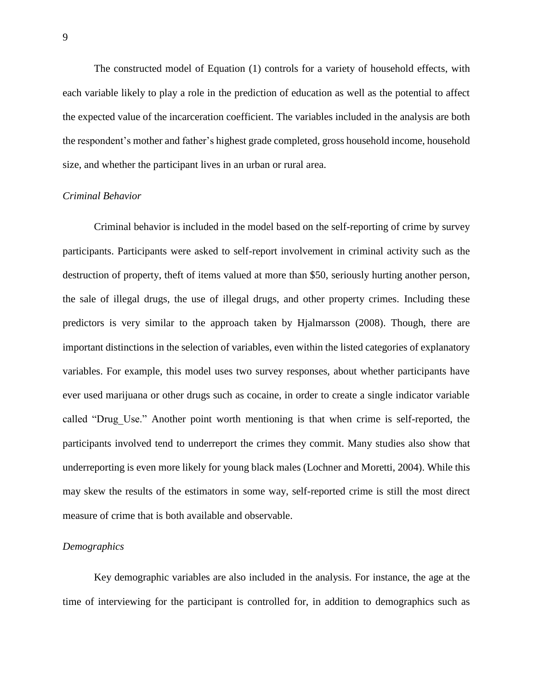The constructed model of Equation (1) controls for a variety of household effects, with each variable likely to play a role in the prediction of education as well as the potential to affect the expected value of the incarceration coefficient. The variables included in the analysis are both the respondent's mother and father's highest grade completed, gross household income, household size, and whether the participant lives in an urban or rural area.

#### *Criminal Behavior*

Criminal behavior is included in the model based on the self-reporting of crime by survey participants. Participants were asked to self-report involvement in criminal activity such as the destruction of property, theft of items valued at more than \$50, seriously hurting another person, the sale of illegal drugs, the use of illegal drugs, and other property crimes. Including these predictors is very similar to the approach taken by Hjalmarsson (2008). Though, there are important distinctions in the selection of variables, even within the listed categories of explanatory variables. For example, this model uses two survey responses, about whether participants have ever used marijuana or other drugs such as cocaine, in order to create a single indicator variable called "Drug Use." Another point worth mentioning is that when crime is self-reported, the participants involved tend to underreport the crimes they commit. Many studies also show that underreporting is even more likely for young black males (Lochner and Moretti, 2004). While this may skew the results of the estimators in some way, self-reported crime is still the most direct measure of crime that is both available and observable.

## *Demographics*

Key demographic variables are also included in the analysis. For instance, the age at the time of interviewing for the participant is controlled for, in addition to demographics such as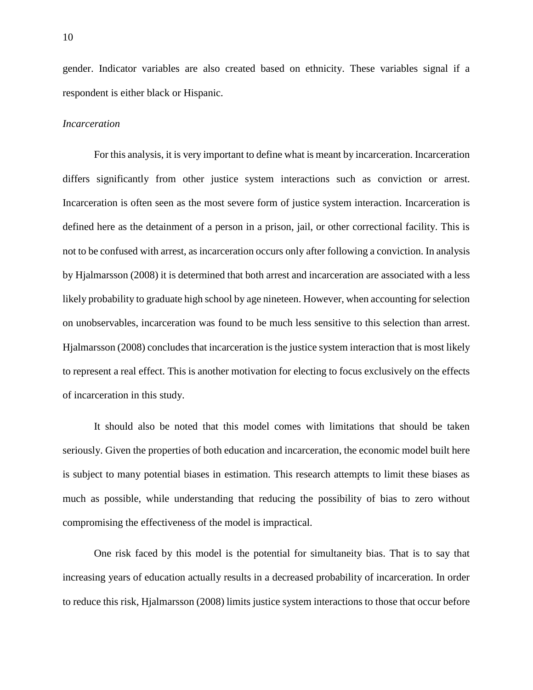gender. Indicator variables are also created based on ethnicity. These variables signal if a respondent is either black or Hispanic.

## *Incarceration*

For this analysis, it is very important to define what is meant by incarceration. Incarceration differs significantly from other justice system interactions such as conviction or arrest. Incarceration is often seen as the most severe form of justice system interaction. Incarceration is defined here as the detainment of a person in a prison, jail, or other correctional facility. This is not to be confused with arrest, as incarceration occurs only after following a conviction. In analysis by Hjalmarsson (2008) it is determined that both arrest and incarceration are associated with a less likely probability to graduate high school by age nineteen. However, when accounting for selection on unobservables, incarceration was found to be much less sensitive to this selection than arrest. Hjalmarsson (2008) concludes that incarceration is the justice system interaction that is most likely to represent a real effect. This is another motivation for electing to focus exclusively on the effects of incarceration in this study.

It should also be noted that this model comes with limitations that should be taken seriously. Given the properties of both education and incarceration, the economic model built here is subject to many potential biases in estimation. This research attempts to limit these biases as much as possible, while understanding that reducing the possibility of bias to zero without compromising the effectiveness of the model is impractical.

One risk faced by this model is the potential for simultaneity bias. That is to say that increasing years of education actually results in a decreased probability of incarceration. In order to reduce this risk, Hjalmarsson (2008) limits justice system interactions to those that occur before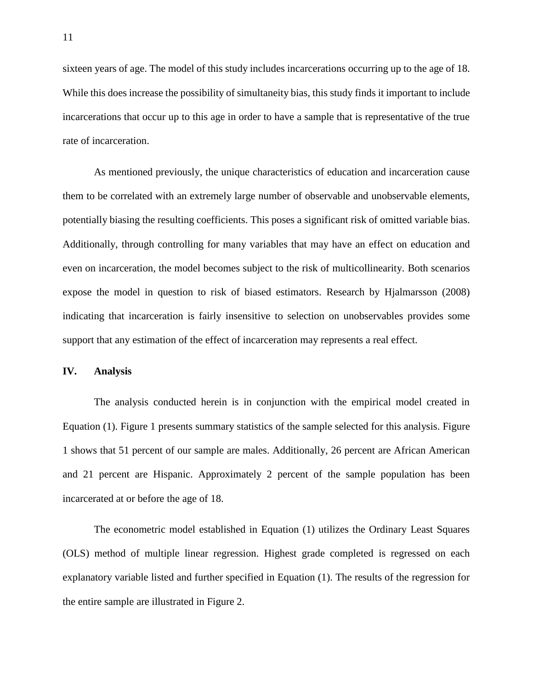sixteen years of age. The model of this study includes incarcerations occurring up to the age of 18. While this does increase the possibility of simultaneity bias, this study finds it important to include incarcerations that occur up to this age in order to have a sample that is representative of the true rate of incarceration.

As mentioned previously, the unique characteristics of education and incarceration cause them to be correlated with an extremely large number of observable and unobservable elements, potentially biasing the resulting coefficients. This poses a significant risk of omitted variable bias. Additionally, through controlling for many variables that may have an effect on education and even on incarceration, the model becomes subject to the risk of multicollinearity. Both scenarios expose the model in question to risk of biased estimators. Research by Hjalmarsson (2008) indicating that incarceration is fairly insensitive to selection on unobservables provides some support that any estimation of the effect of incarceration may represents a real effect.

## **IV. Analysis**

The analysis conducted herein is in conjunction with the empirical model created in Equation (1). Figure 1 presents summary statistics of the sample selected for this analysis. Figure 1 shows that 51 percent of our sample are males. Additionally, 26 percent are African American and 21 percent are Hispanic. Approximately 2 percent of the sample population has been incarcerated at or before the age of 18.

The econometric model established in Equation (1) utilizes the Ordinary Least Squares (OLS) method of multiple linear regression. Highest grade completed is regressed on each explanatory variable listed and further specified in Equation (1). The results of the regression for the entire sample are illustrated in Figure 2.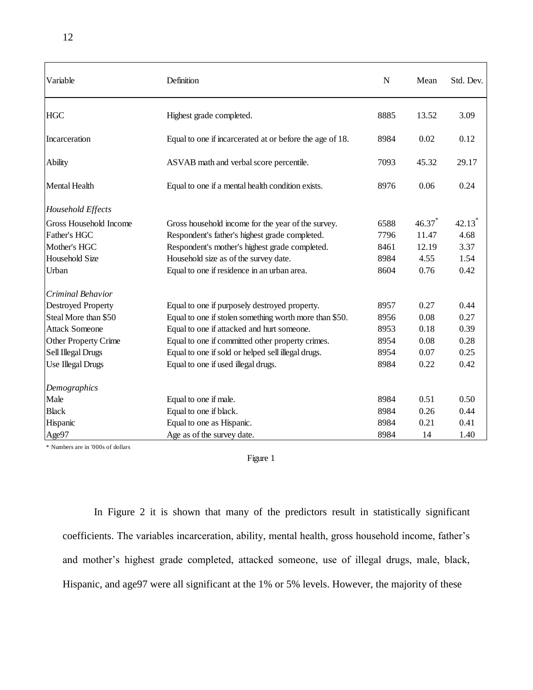| Variable                    | Definition                                               | $\mathbf N$ | Mean  | Std. Dev.            |
|-----------------------------|----------------------------------------------------------|-------------|-------|----------------------|
| <b>HGC</b>                  | Highest grade completed.                                 | 8885        | 13.52 | 3.09                 |
| Incarceration               | Equal to one if incarcerated at or before the age of 18. | 8984        | 0.02  | 0.12                 |
| Ability                     | ASVAB math and verbal score percentile.                  | 7093        | 45.32 | 29.17                |
| Mental Health               | Equal to one if a mental health condition exists.        | 8976        | 0.06  | 0.24                 |
| Household Effects           |                                                          |             |       |                      |
| Gross Household Income      | Gross household income for the year of the survey.       | 6588        | 46.37 | $42.13$ <sup>*</sup> |
| Father's HGC                | Respondent's father's highest grade completed.           | 7796        | 11.47 | 4.68                 |
| Mother's HGC                | Respondent's mother's highest grade completed.           | 8461        | 12.19 | 3.37                 |
| Household Size              | Household size as of the survey date.                    | 8984        | 4.55  | 1.54                 |
| Urban                       | Equal to one if residence in an urban area.              | 8604        | 0.76  | 0.42                 |
| Criminal Behavior           |                                                          |             |       |                      |
| <b>Destroyed Property</b>   | Equal to one if purposely destroyed property.            | 8957        | 0.27  | 0.44                 |
| Steal More than \$50        | Equal to one if stolen something worth more than \$50.   | 8956        | 0.08  | 0.27                 |
| <b>Attack Someone</b>       | Equal to one if attacked and hurt someone.               | 8953        | 0.18  | 0.39                 |
| <b>Other Property Crime</b> | Equal to one if committed other property crimes.         | 8954        | 0.08  | 0.28                 |
| Sell Illegal Drugs          | Equal to one if sold or helped sell illegal drugs.       | 8954        | 0.07  | 0.25                 |
| Use Illegal Drugs           | Equal to one if used illegal drugs.                      | 8984        | 0.22  | 0.42                 |
| Demographics                |                                                          |             |       |                      |
| Male                        | Equal to one if male.                                    | 8984        | 0.51  | 0.50                 |
| <b>Black</b>                | Equal to one if black.                                   | 8984        | 0.26  | 0.44                 |
| Hispanic                    | Equal to one as Hispanic.                                | 8984        | 0.21  | 0.41                 |
| Age97                       | Age as of the survey date.                               | 8984        | 14    | 1.40                 |

\* Numbers are in '000s of dollars

Figure 1

In Figure 2 it is shown that many of the predictors result in statistically significant coefficients. The variables incarceration, ability, mental health, gross household income, father's and mother's highest grade completed, attacked someone, use of illegal drugs, male, black, Hispanic, and age97 were all significant at the 1% or 5% levels. However, the majority of these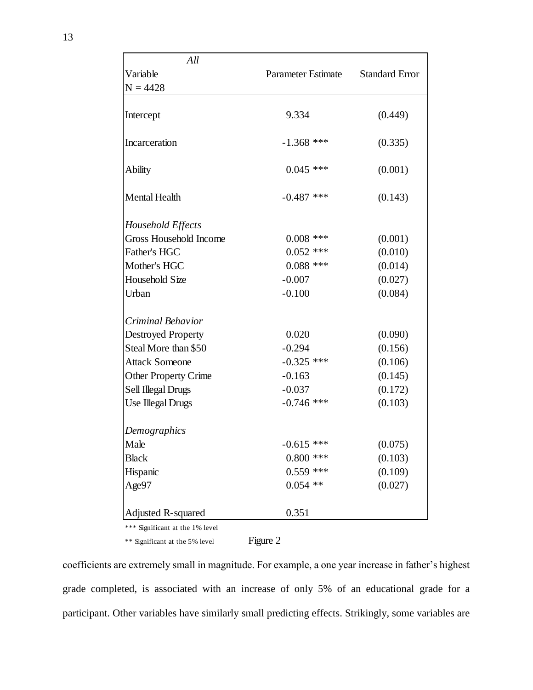| All                             |                           |                       |
|---------------------------------|---------------------------|-----------------------|
| Variable                        | <b>Parameter Estimate</b> | <b>Standard Error</b> |
| $N = 4428$                      |                           |                       |
|                                 |                           |                       |
| Intercept                       | 9.334                     | (0.449)               |
| Incarceration                   | $-1.368$ ***              | (0.335)               |
| Ability                         | $0.045$ ***               | (0.001)               |
| <b>Mental Health</b>            | $-0.487$ ***              | (0.143)               |
| Household Effects               |                           |                       |
| Gross Household Income          | $0.008$ ***               | (0.001)               |
| Father's HGC                    | $0.052$ ***               | (0.010)               |
| Mother's HGC                    | $0.088$ ***               | (0.014)               |
| <b>Household Size</b>           | $-0.007$                  | (0.027)               |
| Urban                           | $-0.100$                  | (0.084)               |
| Criminal Behavior               |                           |                       |
| <b>Destroyed Property</b>       | 0.020                     | (0.090)               |
| Steal More than \$50            | $-0.294$                  | (0.156)               |
| <b>Attack Someone</b>           | $-0.325$ ***              | (0.106)               |
| <b>Other Property Crime</b>     | $-0.163$                  | (0.145)               |
| Sell Illegal Drugs              | $-0.037$                  | (0.172)               |
| <b>Use Illegal Drugs</b>        | $-0.746$ ***              | (0.103)               |
| Demographics                    |                           |                       |
| Male                            | $-0.615$ ***              | (0.075)               |
| <b>Black</b>                    | $0.800$ ***               | (0.103)               |
| Hispanic                        | $0.559$ ***               | (0.109)               |
| Age97                           | $0.054$ **                | (0.027)               |
| <b>Adjusted R-squared</b>       | 0.351                     |                       |
| *** Significant at the 1% level |                           |                       |

\*\* Significant at the 5% level Figure 2

coefficients are extremely small in magnitude. For example, a one year increase in father's highest grade completed, is associated with an increase of only 5% of an educational grade for a participant. Other variables have similarly small predicting effects. Strikingly, some variables are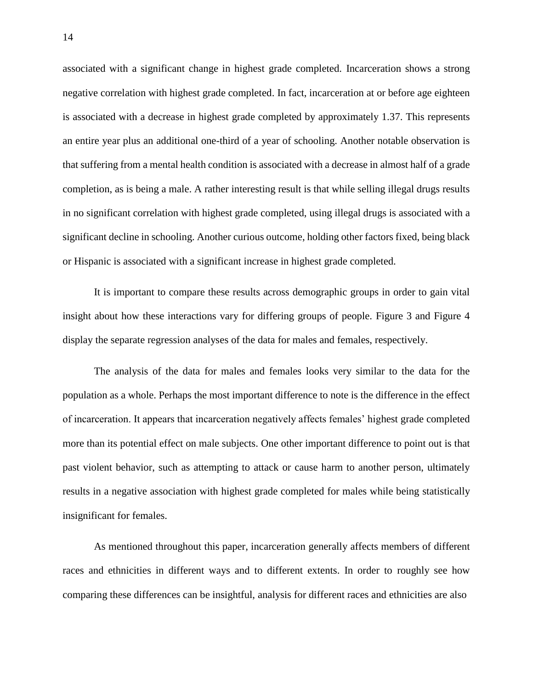associated with a significant change in highest grade completed. Incarceration shows a strong negative correlation with highest grade completed. In fact, incarceration at or before age eighteen is associated with a decrease in highest grade completed by approximately 1.37. This represents an entire year plus an additional one-third of a year of schooling. Another notable observation is that suffering from a mental health condition is associated with a decrease in almost half of a grade completion, as is being a male. A rather interesting result is that while selling illegal drugs results in no significant correlation with highest grade completed, using illegal drugs is associated with a significant decline in schooling. Another curious outcome, holding other factors fixed, being black or Hispanic is associated with a significant increase in highest grade completed.

It is important to compare these results across demographic groups in order to gain vital insight about how these interactions vary for differing groups of people. Figure 3 and Figure 4 display the separate regression analyses of the data for males and females, respectively.

The analysis of the data for males and females looks very similar to the data for the population as a whole. Perhaps the most important difference to note is the difference in the effect of incarceration. It appears that incarceration negatively affects females' highest grade completed more than its potential effect on male subjects. One other important difference to point out is that past violent behavior, such as attempting to attack or cause harm to another person, ultimately results in a negative association with highest grade completed for males while being statistically insignificant for females.

As mentioned throughout this paper, incarceration generally affects members of different races and ethnicities in different ways and to different extents. In order to roughly see how comparing these differences can be insightful, analysis for different races and ethnicities are also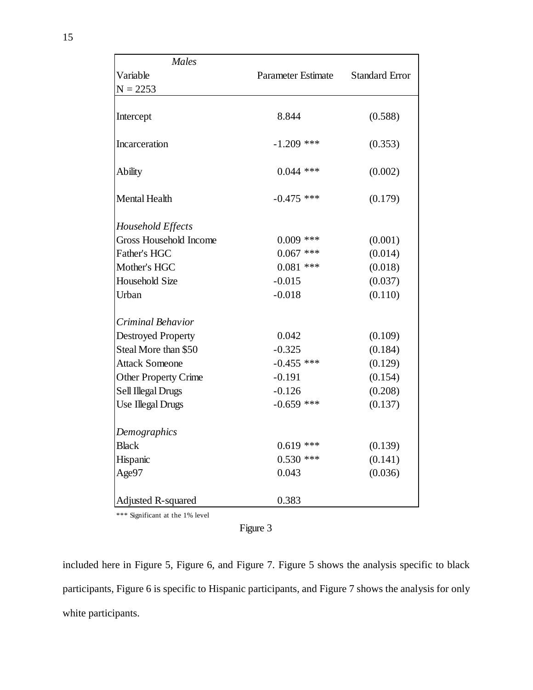| <b>Males</b>                |                           |                       |  |
|-----------------------------|---------------------------|-----------------------|--|
| Variable                    | <b>Parameter Estimate</b> | <b>Standard Error</b> |  |
| $N = 2253$                  |                           |                       |  |
|                             |                           |                       |  |
| Intercept                   | 8.844                     | (0.588)               |  |
| Incarceration               | $-1.209$ ***              | (0.353)               |  |
| <b>Ability</b>              | $0.044$ ***               | (0.002)               |  |
| Mental Health               | $-0.475$ ***              | (0.179)               |  |
| Household Effects           |                           |                       |  |
| Gross Household Income      | $0.009$ ***               | (0.001)               |  |
| Father's HGC                | $0.067$ ***               | (0.014)               |  |
| Mother's HGC                | $0.081$ ***               | (0.018)               |  |
| <b>Household Size</b>       | $-0.015$                  | (0.037)               |  |
| Urban                       | $-0.018$                  | (0.110)               |  |
| Criminal Behavior           |                           |                       |  |
| <b>Destroyed Property</b>   | 0.042                     | (0.109)               |  |
| Steal More than \$50        | $-0.325$                  | (0.184)               |  |
| <b>Attack Someone</b>       | $-0.455$ ***              | (0.129)               |  |
| <b>Other Property Crime</b> | $-0.191$                  | (0.154)               |  |
| Sell Illegal Drugs          | $-0.126$                  | (0.208)               |  |
| <b>Use Illegal Drugs</b>    | $-0.659$ ***              | (0.137)               |  |
| Demographics                |                           |                       |  |
| <b>Black</b>                | $0.619$ ***               | (0.139)               |  |
| Hispanic                    | $0.530$ ***               | (0.141)               |  |
| Age97                       | 0.043                     | (0.036)               |  |
| Adjusted R-squared          | 0.383                     |                       |  |

Figure 3

included here in Figure 5, Figure 6, and Figure 7. Figure 5 shows the analysis specific to black participants, Figure 6 is specific to Hispanic participants, and Figure 7 shows the analysis for only white participants.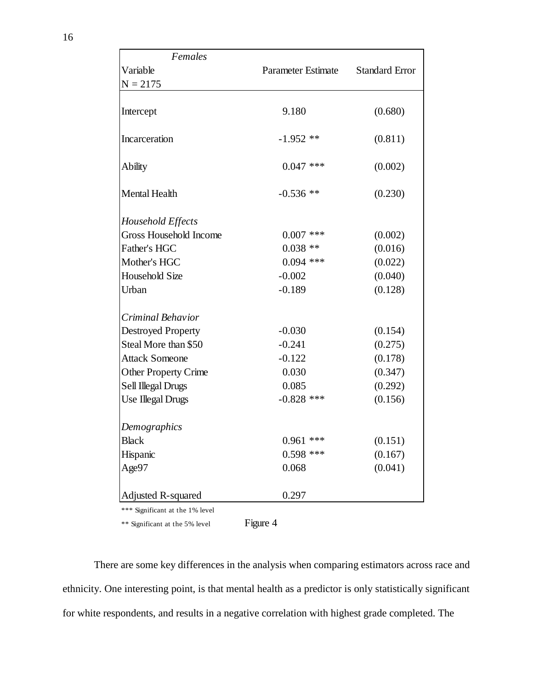| <b>Standard Error</b><br>Variable<br>Parameter Estimate<br>$N = 2175$<br>9.180<br>(0.680)<br>Intercept<br>Incarceration<br>$-1.952$ **<br>(0.811)<br>$0.047$ ***<br>(0.002)<br>Ability<br><b>Mental Health</b><br>$-0.536$ **<br>(0.230)<br>Household Effects<br>Gross Household Income<br>$0.007$ ***<br>(0.002)<br>Father's HGC<br>(0.016)<br>$0.038**$<br>Mother's HGC<br>$0.094$ ***<br>(0.022)<br><b>Household Size</b><br>$-0.002$<br>(0.040)<br>Urban<br>$-0.189$<br>(0.128)<br>Criminal Behavior<br>$-0.030$<br><b>Destroyed Property</b><br>(0.154)<br>Steal More than \$50<br>$-0.241$<br>(0.275)<br>(0.178)<br><b>Attack Someone</b><br>$-0.122$<br>0.030<br><b>Other Property Crime</b><br>(0.347)<br>Sell Illegal Drugs<br>0.085<br>(0.292)<br>Use Illegal Drugs<br>$-0.828$ ***<br>(0.156)<br>Demographics<br>(0.151)<br>$0.961$ ***<br>Black<br>$0.598$ ***<br>(0.167)<br>Hispanic<br>(0.041)<br>Age97<br>0.068 | Females            |       |  |  |
|--------------------------------------------------------------------------------------------------------------------------------------------------------------------------------------------------------------------------------------------------------------------------------------------------------------------------------------------------------------------------------------------------------------------------------------------------------------------------------------------------------------------------------------------------------------------------------------------------------------------------------------------------------------------------------------------------------------------------------------------------------------------------------------------------------------------------------------------------------------------------------------------------------------------------------|--------------------|-------|--|--|
|                                                                                                                                                                                                                                                                                                                                                                                                                                                                                                                                                                                                                                                                                                                                                                                                                                                                                                                                |                    |       |  |  |
|                                                                                                                                                                                                                                                                                                                                                                                                                                                                                                                                                                                                                                                                                                                                                                                                                                                                                                                                |                    |       |  |  |
|                                                                                                                                                                                                                                                                                                                                                                                                                                                                                                                                                                                                                                                                                                                                                                                                                                                                                                                                |                    |       |  |  |
|                                                                                                                                                                                                                                                                                                                                                                                                                                                                                                                                                                                                                                                                                                                                                                                                                                                                                                                                |                    |       |  |  |
|                                                                                                                                                                                                                                                                                                                                                                                                                                                                                                                                                                                                                                                                                                                                                                                                                                                                                                                                |                    |       |  |  |
|                                                                                                                                                                                                                                                                                                                                                                                                                                                                                                                                                                                                                                                                                                                                                                                                                                                                                                                                |                    |       |  |  |
|                                                                                                                                                                                                                                                                                                                                                                                                                                                                                                                                                                                                                                                                                                                                                                                                                                                                                                                                |                    |       |  |  |
|                                                                                                                                                                                                                                                                                                                                                                                                                                                                                                                                                                                                                                                                                                                                                                                                                                                                                                                                |                    |       |  |  |
|                                                                                                                                                                                                                                                                                                                                                                                                                                                                                                                                                                                                                                                                                                                                                                                                                                                                                                                                |                    |       |  |  |
|                                                                                                                                                                                                                                                                                                                                                                                                                                                                                                                                                                                                                                                                                                                                                                                                                                                                                                                                |                    |       |  |  |
|                                                                                                                                                                                                                                                                                                                                                                                                                                                                                                                                                                                                                                                                                                                                                                                                                                                                                                                                |                    |       |  |  |
|                                                                                                                                                                                                                                                                                                                                                                                                                                                                                                                                                                                                                                                                                                                                                                                                                                                                                                                                |                    |       |  |  |
|                                                                                                                                                                                                                                                                                                                                                                                                                                                                                                                                                                                                                                                                                                                                                                                                                                                                                                                                |                    |       |  |  |
|                                                                                                                                                                                                                                                                                                                                                                                                                                                                                                                                                                                                                                                                                                                                                                                                                                                                                                                                |                    |       |  |  |
|                                                                                                                                                                                                                                                                                                                                                                                                                                                                                                                                                                                                                                                                                                                                                                                                                                                                                                                                |                    |       |  |  |
|                                                                                                                                                                                                                                                                                                                                                                                                                                                                                                                                                                                                                                                                                                                                                                                                                                                                                                                                |                    |       |  |  |
|                                                                                                                                                                                                                                                                                                                                                                                                                                                                                                                                                                                                                                                                                                                                                                                                                                                                                                                                |                    |       |  |  |
|                                                                                                                                                                                                                                                                                                                                                                                                                                                                                                                                                                                                                                                                                                                                                                                                                                                                                                                                |                    |       |  |  |
|                                                                                                                                                                                                                                                                                                                                                                                                                                                                                                                                                                                                                                                                                                                                                                                                                                                                                                                                |                    |       |  |  |
|                                                                                                                                                                                                                                                                                                                                                                                                                                                                                                                                                                                                                                                                                                                                                                                                                                                                                                                                |                    |       |  |  |
|                                                                                                                                                                                                                                                                                                                                                                                                                                                                                                                                                                                                                                                                                                                                                                                                                                                                                                                                |                    |       |  |  |
|                                                                                                                                                                                                                                                                                                                                                                                                                                                                                                                                                                                                                                                                                                                                                                                                                                                                                                                                |                    |       |  |  |
|                                                                                                                                                                                                                                                                                                                                                                                                                                                                                                                                                                                                                                                                                                                                                                                                                                                                                                                                |                    |       |  |  |
|                                                                                                                                                                                                                                                                                                                                                                                                                                                                                                                                                                                                                                                                                                                                                                                                                                                                                                                                |                    |       |  |  |
|                                                                                                                                                                                                                                                                                                                                                                                                                                                                                                                                                                                                                                                                                                                                                                                                                                                                                                                                | Adjusted R-squared | 0.297 |  |  |

\*\* Significant at the 5% level Figure 4

There are some key differences in the analysis when comparing estimators across race and ethnicity. One interesting point, is that mental health as a predictor is only statistically significant for white respondents, and results in a negative correlation with highest grade completed. The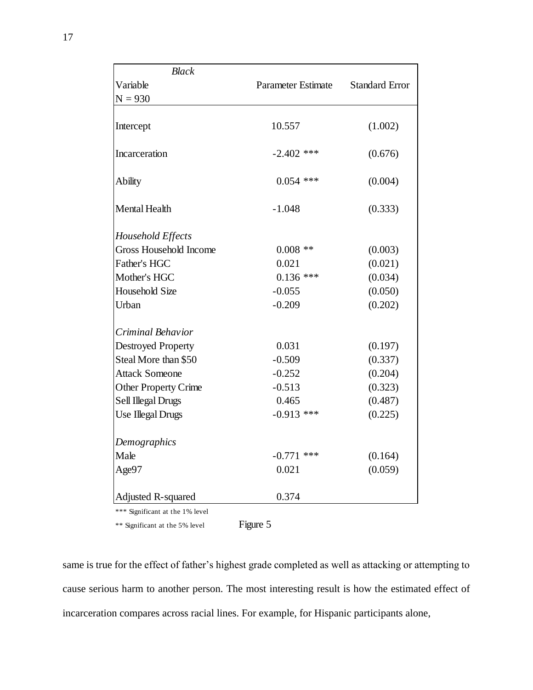| <b>Parameter Estimate</b><br><b>Standard Error</b><br>Variable<br>$N = 930$<br>(1.002)<br>10.557<br>Intercept<br>$-2.402$ ***<br>Incarceration<br>(0.676)<br>$0.054$ ***<br>(0.004)<br>Ability<br>Mental Health<br>$-1.048$<br>(0.333)<br>Household Effects<br>Gross Household Income<br>$0.008$ **<br>(0.003)<br>Father's HGC<br>(0.021)<br>0.021<br>Mother's HGC<br>$0.136$ ***<br>(0.034)<br><b>Household Size</b><br>$-0.055$<br>(0.050)<br>$-0.209$<br>Urban<br>(0.202)<br>Criminal Behavior<br><b>Destroyed Property</b><br>0.031<br>(0.197)<br>Steal More than \$50<br>$-0.509$<br>(0.337)<br>$-0.252$<br>(0.204)<br><b>Attack Someone</b><br>$-0.513$<br><b>Other Property Crime</b><br>(0.323)<br>Sell Illegal Drugs<br>0.465<br>(0.487)<br><b>Use Illegal Drugs</b><br>$-0.913$ ***<br>(0.225)<br>Demographics<br>Male<br>$-0.771$ ***<br>(0.164)<br>Age97<br>0.021<br>(0.059) | <b>Black</b> |  |  |
|------------------------------------------------------------------------------------------------------------------------------------------------------------------------------------------------------------------------------------------------------------------------------------------------------------------------------------------------------------------------------------------------------------------------------------------------------------------------------------------------------------------------------------------------------------------------------------------------------------------------------------------------------------------------------------------------------------------------------------------------------------------------------------------------------------------------------------------------------------------------------------------|--------------|--|--|
|                                                                                                                                                                                                                                                                                                                                                                                                                                                                                                                                                                                                                                                                                                                                                                                                                                                                                          |              |  |  |
|                                                                                                                                                                                                                                                                                                                                                                                                                                                                                                                                                                                                                                                                                                                                                                                                                                                                                          |              |  |  |
|                                                                                                                                                                                                                                                                                                                                                                                                                                                                                                                                                                                                                                                                                                                                                                                                                                                                                          |              |  |  |
|                                                                                                                                                                                                                                                                                                                                                                                                                                                                                                                                                                                                                                                                                                                                                                                                                                                                                          |              |  |  |
|                                                                                                                                                                                                                                                                                                                                                                                                                                                                                                                                                                                                                                                                                                                                                                                                                                                                                          |              |  |  |
|                                                                                                                                                                                                                                                                                                                                                                                                                                                                                                                                                                                                                                                                                                                                                                                                                                                                                          |              |  |  |
|                                                                                                                                                                                                                                                                                                                                                                                                                                                                                                                                                                                                                                                                                                                                                                                                                                                                                          |              |  |  |
|                                                                                                                                                                                                                                                                                                                                                                                                                                                                                                                                                                                                                                                                                                                                                                                                                                                                                          |              |  |  |
|                                                                                                                                                                                                                                                                                                                                                                                                                                                                                                                                                                                                                                                                                                                                                                                                                                                                                          |              |  |  |
|                                                                                                                                                                                                                                                                                                                                                                                                                                                                                                                                                                                                                                                                                                                                                                                                                                                                                          |              |  |  |
|                                                                                                                                                                                                                                                                                                                                                                                                                                                                                                                                                                                                                                                                                                                                                                                                                                                                                          |              |  |  |
|                                                                                                                                                                                                                                                                                                                                                                                                                                                                                                                                                                                                                                                                                                                                                                                                                                                                                          |              |  |  |
|                                                                                                                                                                                                                                                                                                                                                                                                                                                                                                                                                                                                                                                                                                                                                                                                                                                                                          |              |  |  |
|                                                                                                                                                                                                                                                                                                                                                                                                                                                                                                                                                                                                                                                                                                                                                                                                                                                                                          |              |  |  |
|                                                                                                                                                                                                                                                                                                                                                                                                                                                                                                                                                                                                                                                                                                                                                                                                                                                                                          |              |  |  |
|                                                                                                                                                                                                                                                                                                                                                                                                                                                                                                                                                                                                                                                                                                                                                                                                                                                                                          |              |  |  |
|                                                                                                                                                                                                                                                                                                                                                                                                                                                                                                                                                                                                                                                                                                                                                                                                                                                                                          |              |  |  |
|                                                                                                                                                                                                                                                                                                                                                                                                                                                                                                                                                                                                                                                                                                                                                                                                                                                                                          |              |  |  |
|                                                                                                                                                                                                                                                                                                                                                                                                                                                                                                                                                                                                                                                                                                                                                                                                                                                                                          |              |  |  |
|                                                                                                                                                                                                                                                                                                                                                                                                                                                                                                                                                                                                                                                                                                                                                                                                                                                                                          |              |  |  |
|                                                                                                                                                                                                                                                                                                                                                                                                                                                                                                                                                                                                                                                                                                                                                                                                                                                                                          |              |  |  |
|                                                                                                                                                                                                                                                                                                                                                                                                                                                                                                                                                                                                                                                                                                                                                                                                                                                                                          |              |  |  |
| 0.374<br>Adjusted R-squared                                                                                                                                                                                                                                                                                                                                                                                                                                                                                                                                                                                                                                                                                                                                                                                                                                                              |              |  |  |

\*\* Significant at the 5% level Figure 5

same is true for the effect of father's highest grade completed as well as attacking or attempting to cause serious harm to another person. The most interesting result is how the estimated effect of incarceration compares across racial lines. For example, for Hispanic participants alone,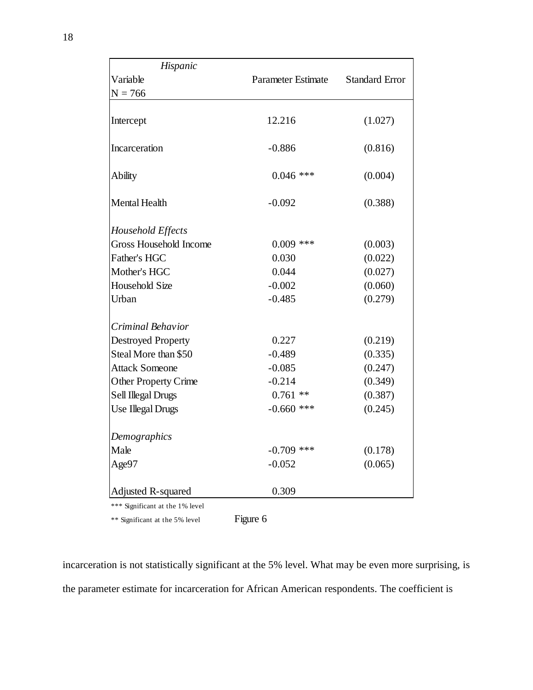| Hispanic                      |                           |                       |
|-------------------------------|---------------------------|-----------------------|
| Variable                      | <b>Parameter Estimate</b> | <b>Standard Error</b> |
| $N = 766$                     |                           |                       |
| Intercept                     | 12.216                    | (1.027)               |
|                               |                           |                       |
| Incarceration                 | $-0.886$                  | (0.816)               |
| <b>Ability</b>                | $0.046$ ***               | (0.004)               |
| <b>Mental Health</b>          | $-0.092$                  | (0.388)               |
| Household Effects             |                           |                       |
| <b>Gross Household Income</b> | $0.009$ ***               | (0.003)               |
| Father's HGC                  | 0.030                     | (0.022)               |
| Mother's HGC                  | 0.044                     | (0.027)               |
| <b>Household Size</b>         | $-0.002$                  | (0.060)               |
| Urban                         | $-0.485$                  | (0.279)               |
| Criminal Behavior             |                           |                       |
| <b>Destroyed Property</b>     | 0.227                     | (0.219)               |
| Steal More than \$50          | $-0.489$                  | (0.335)               |
| <b>Attack Someone</b>         | $-0.085$                  | (0.247)               |
| <b>Other Property Crime</b>   | $-0.214$                  | (0.349)               |
| Sell Illegal Drugs            | $0.761$ **                | (0.387)               |
| <b>Use Illegal Drugs</b>      | $-0.660$ ***              | (0.245)               |
| Demographics                  |                           |                       |
| Male                          | $-0.709$ ***              | (0.178)               |
| Age97                         | $-0.052$                  | (0.065)               |
| Adjusted R-squared            | 0.309                     |                       |
|                               |                           |                       |

\*\* Significant at the 5% level Figure 6

incarceration is not statistically significant at the 5% level. What may be even more surprising, is the parameter estimate for incarceration for African American respondents. The coefficient is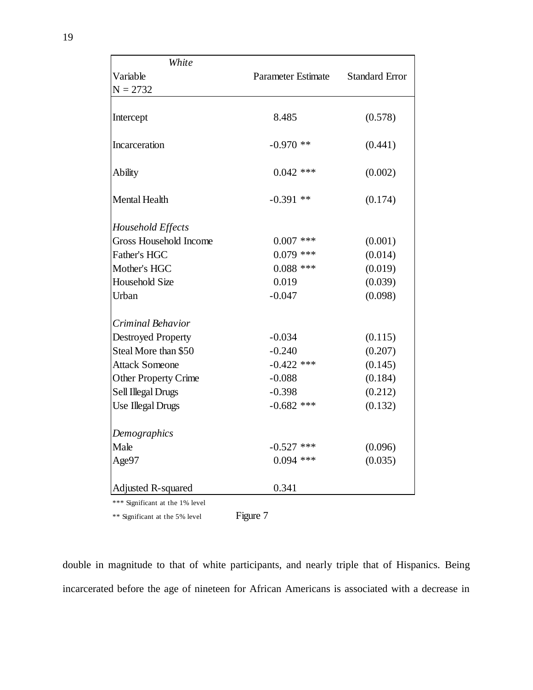| White                       |                           |                       |
|-----------------------------|---------------------------|-----------------------|
| Variable                    | <b>Parameter Estimate</b> | <b>Standard Error</b> |
| $N = 2732$                  |                           |                       |
|                             |                           |                       |
| Intercept                   | 8.485                     | (0.578)               |
| Incarceration               | $-0.970$ **               | (0.441)               |
| <b>Ability</b>              | $0.042$ ***               | (0.002)               |
| <b>Mental Health</b>        | $-0.391$ **               | (0.174)               |
| Household Effects           |                           |                       |
| Gross Household Income      | $0.007$ ***               | (0.001)               |
| Father's HGC                | $0.079$ ***               | (0.014)               |
| Mother's HGC                | $0.088$ ***               | (0.019)               |
| <b>Household Size</b>       | 0.019                     | (0.039)               |
| Urban                       | $-0.047$                  | (0.098)               |
| Criminal Behavior           |                           |                       |
| <b>Destroyed Property</b>   | $-0.034$                  | (0.115)               |
| Steal More than \$50        | $-0.240$                  | (0.207)               |
| <b>Attack Someone</b>       | $-0.422$ ***              | (0.145)               |
| <b>Other Property Crime</b> | $-0.088$                  | (0.184)               |
| Sell Illegal Drugs          | $-0.398$                  | (0.212)               |
| <b>Use Illegal Drugs</b>    | $-0.682$ ***              | (0.132)               |
| Demographics                |                           |                       |
| Male                        | $-0.527$ ***              | (0.096)               |
| Age97                       | $0.094$ ***               | (0.035)               |
| Adjusted R-squared          | 0.341                     |                       |
|                             |                           |                       |

\*\* Significant at the 5% level Figure 7

double in magnitude to that of white participants, and nearly triple that of Hispanics. Being incarcerated before the age of nineteen for African Americans is associated with a decrease in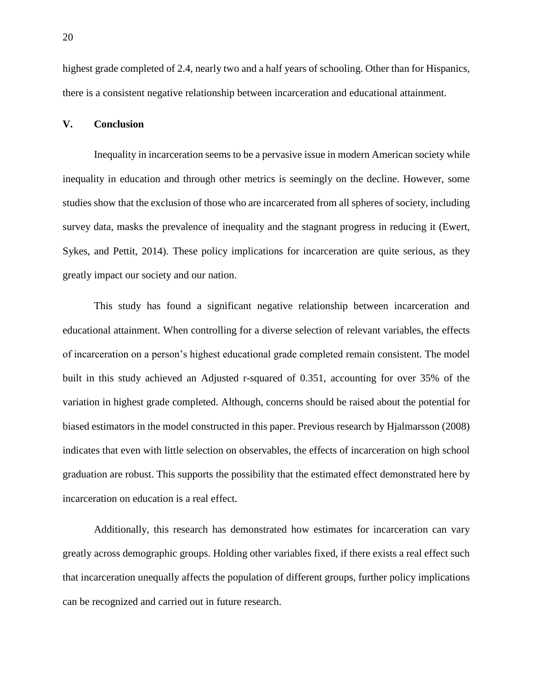highest grade completed of 2.4, nearly two and a half years of schooling. Other than for Hispanics, there is a consistent negative relationship between incarceration and educational attainment.

## **V. Conclusion**

Inequality in incarceration seems to be a pervasive issue in modern American society while inequality in education and through other metrics is seemingly on the decline. However, some studies show that the exclusion of those who are incarcerated from all spheres of society, including survey data, masks the prevalence of inequality and the stagnant progress in reducing it (Ewert, Sykes, and Pettit, 2014). These policy implications for incarceration are quite serious, as they greatly impact our society and our nation.

This study has found a significant negative relationship between incarceration and educational attainment. When controlling for a diverse selection of relevant variables, the effects of incarceration on a person's highest educational grade completed remain consistent. The model built in this study achieved an Adjusted r-squared of 0.351, accounting for over 35% of the variation in highest grade completed. Although, concerns should be raised about the potential for biased estimators in the model constructed in this paper. Previous research by Hjalmarsson (2008) indicates that even with little selection on observables, the effects of incarceration on high school graduation are robust. This supports the possibility that the estimated effect demonstrated here by incarceration on education is a real effect.

Additionally, this research has demonstrated how estimates for incarceration can vary greatly across demographic groups. Holding other variables fixed, if there exists a real effect such that incarceration unequally affects the population of different groups, further policy implications can be recognized and carried out in future research.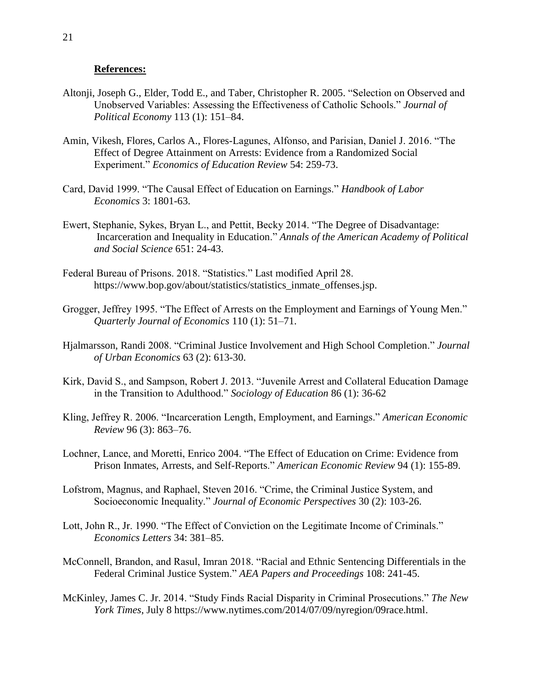#### **References:**

- Altonji, Joseph G., Elder, Todd E., and Taber, Christopher R. 2005. "Selection on Observed and Unobserved Variables: Assessing the Effectiveness of Catholic Schools." *Journal of Political Economy* 113 (1): 151–84.
- Amin, Vikesh, Flores, Carlos A., Flores-Lagunes, Alfonso, and Parisian, Daniel J. 2016. "The Effect of Degree Attainment on Arrests: Evidence from a Randomized Social Experiment." *Economics of Education Review* 54: 259-73.
- Card, David 1999. "The Causal Effect of Education on Earnings." *Handbook of Labor Economics* 3: 1801-63.
- Ewert, Stephanie, Sykes, Bryan L., and Pettit, Becky 2014. "The Degree of Disadvantage: Incarceration and Inequality in Education." *Annals of the American Academy of Political and Social Science* 651: 24-43.
- Federal Bureau of Prisons. 2018. "Statistics." Last modified April 28. https://www.bop.gov/about/statistics/statistics\_inmate\_offenses.jsp.
- Grogger, Jeffrey 1995. "The Effect of Arrests on the Employment and Earnings of Young Men." *Quarterly Journal of Economics* 110 (1): 51–71.
- Hjalmarsson, Randi 2008. "Criminal Justice Involvement and High School Completion." *Journal of Urban Economics* 63 (2): 613-30.
- Kirk, David S., and Sampson, Robert J. 2013. "Juvenile Arrest and Collateral Education Damage in the Transition to Adulthood." *Sociology of Education* 86 (1): 36-62
- Kling, Jeffrey R. 2006. "Incarceration Length, Employment, and Earnings." *American Economic Review* 96 (3): 863–76.
- Lochner, Lance, and Moretti, Enrico 2004. "The Effect of Education on Crime: Evidence from Prison Inmates, Arrests, and Self-Reports." *American Economic Review* 94 (1): 155-89.
- Lofstrom, Magnus, and Raphael, Steven 2016. "Crime, the Criminal Justice System, and Socioeconomic Inequality." *Journal of Economic Perspectives* 30 (2): 103-26.
- Lott, John R., Jr. 1990. "The Effect of Conviction on the Legitimate Income of Criminals." *Economics Letters* 34: 381–85.
- McConnell, Brandon, and Rasul, Imran 2018. "Racial and Ethnic Sentencing Differentials in the Federal Criminal Justice System." *AEA Papers and Proceedings* 108: 241-45.
- McKinley, James C. Jr. 2014. "Study Finds Racial Disparity in Criminal Prosecutions." *The New York Times*, July 8 https://www.nytimes.com/2014/07/09/nyregion/09race.html.